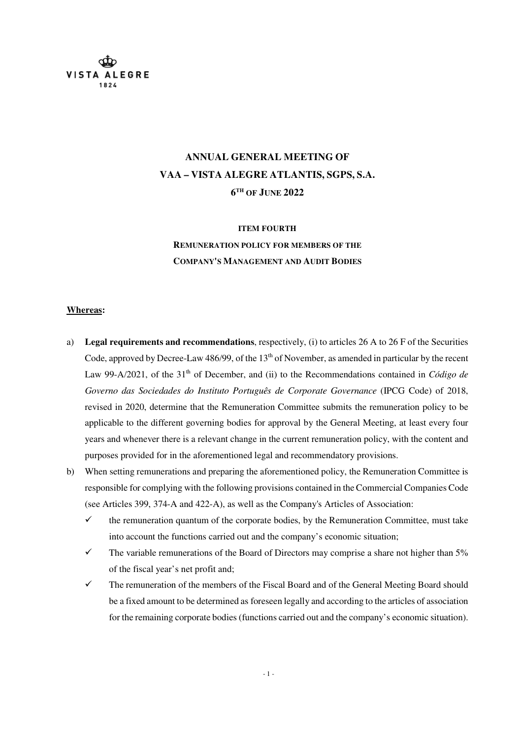

# **ANNUAL GENERAL MEETING OF VAA – VISTA ALEGRE ATLANTIS, SGPS, S.A. 6 TH OF JUNE 2022**

#### **ITEM FOURTH**

**REMUNERATION POLICY FOR MEMBERS OF THE COMPANY'S MANAGEMENT AND AUDIT BODIES**

#### **Whereas:**

- a) **Legal requirements and recommendations**, respectively, (i) to articles 26 A to 26 F of the Securities Code, approved by Decree-Law 486/99, of the 13<sup>th</sup> of November, as amended in particular by the recent Law 99-A/2021, of the 31<sup>th</sup> of December, and (ii) to the Recommendations contained in *Código de Governo das Sociedades do Instituto Português de Corporate Governance* (IPCG Code) of 2018, revised in 2020, determine that the Remuneration Committee submits the remuneration policy to be applicable to the different governing bodies for approval by the General Meeting, at least every four years and whenever there is a relevant change in the current remuneration policy, with the content and purposes provided for in the aforementioned legal and recommendatory provisions.
- b) When setting remunerations and preparing the aforementioned policy, the Remuneration Committee is responsible for complying with the following provisions contained in the Commercial Companies Code (see Articles 399, 374-A and 422-A), as well as the Company's Articles of Association:
	- $\checkmark$  the remuneration quantum of the corporate bodies, by the Remuneration Committee, must take into account the functions carried out and the company's economic situation;
	- $\checkmark$  The variable remunerations of the Board of Directors may comprise a share not higher than 5% of the fiscal year's net profit and;
	- $\checkmark$  The remuneration of the members of the Fiscal Board and of the General Meeting Board should be a fixed amount to be determined as foreseen legally and according to the articles of association for the remaining corporate bodies (functions carried out and the company's economic situation).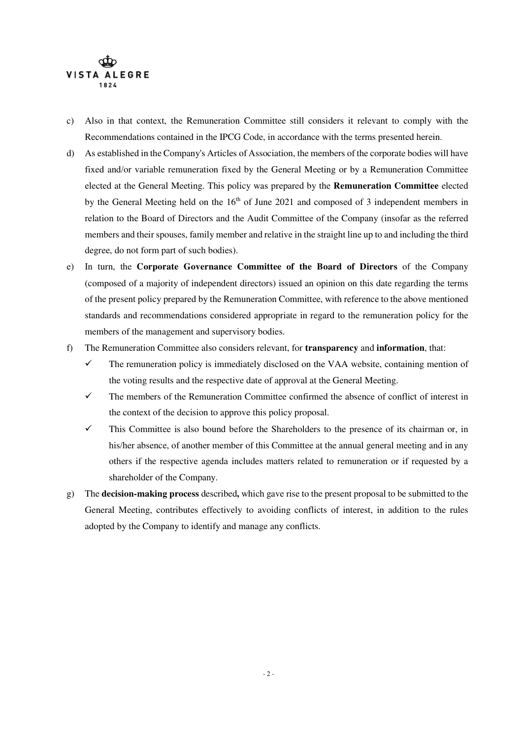

- c) Also in that context, the Remuneration Committee still considers it relevant to comply with the Recommendations contained in the IPCG Code, in accordance with the terms presented herein.
- d) As established in the Company's Articles of Association, the members of the corporate bodies will have fixed and/or variable remuneration fixed by the General Meeting or by a Remuneration Committee elected at the General Meeting. This policy was prepared by the **Remuneration Committee** elected by the General Meeting held on the  $16<sup>th</sup>$  of June 2021 and composed of 3 independent members in relation to the Board of Directors and the Audit Committee of the Company (insofar as the referred members and their spouses, family member and relative in the straight line up to and including the third degree, do not form part of such bodies).
- e) In turn, the **Corporate Governance Committee of the Board of Directors** of the Company (composed of a majority of independent directors) issued an opinion on this date regarding the terms of the present policy prepared by the Remuneration Committee, with reference to the above mentioned standards and recommendations considered appropriate in regard to the remuneration policy for the members of the management and supervisory bodies.
- f) The Remuneration Committee also considers relevant, for **transparency** and **information**, that:
	- $\checkmark$  The remuneration policy is immediately disclosed on the VAA website, containing mention of the voting results and the respective date of approval at the General Meeting.
	- $\checkmark$  The members of the Remuneration Committee confirmed the absence of conflict of interest in the context of the decision to approve this policy proposal.
	- $\checkmark$  This Committee is also bound before the Shareholders to the presence of its chairman or, in his/her absence, of another member of this Committee at the annual general meeting and in any others if the respective agenda includes matters related to remuneration or if requested by a shareholder of the Company.
- g) The **decision-making process** described**,** which gave rise to the present proposal to be submitted to the General Meeting, contributes effectively to avoiding conflicts of interest, in addition to the rules adopted by the Company to identify and manage any conflicts.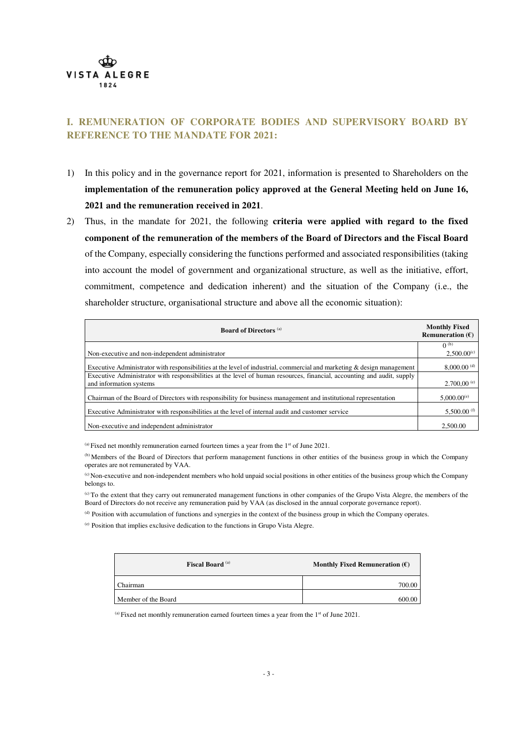

#### **I. REMUNERATION OF CORPORATE BODIES AND SUPERVISORY BOARD BY REFERENCE TO THE MANDATE FOR 2021:**

- 1) In this policy and in the governance report for 2021, information is presented to Shareholders on the **implementation of the remuneration policy approved at the General Meeting held on June 16, 2021 and the remuneration received in 2021**.
- 2) Thus, in the mandate for 2021, the following **criteria were applied with regard to the fixed component of the remuneration of the members of the Board of Directors and the Fiscal Board** of the Company, especially considering the functions performed and associated responsibilities (taking into account the model of government and organizational structure, as well as the initiative, effort, commitment, competence and dedication inherent) and the situation of the Company (i.e., the shareholder structure, organisational structure and above all the economic situation):

| <b>Board of Directors (a)</b>                                                                                                                     | <b>Monthly Fixed</b><br>Remuneration $(\mathcal{E})$ |
|---------------------------------------------------------------------------------------------------------------------------------------------------|------------------------------------------------------|
| Non-executive and non-independent administrator                                                                                                   | $0^{(b)}$<br>$2,500.00^{(c)}$                        |
| Executive Administrator with responsibilities at the level of industrial, commercial and marketing & design management                            | $8,000.00$ <sup>(d)</sup>                            |
| Executive Administrator with responsibilities at the level of human resources, financial, accounting and audit, supply<br>and information systems | $2.700,00^{(e)}$                                     |
| Chairman of the Board of Directors with responsibility for business management and institutional representation                                   | $5,000.00^{(e)}$                                     |
| Executive Administrator with responsibilities at the level of internal audit and customer service                                                 | 5,500.00 $^{(f)}$                                    |
| Non-executive and independent administrator                                                                                                       | 2.500.00                                             |

 $^{(a)}$  Fixed net monthly remuneration earned fourteen times a year from the 1<sup>st</sup> of June 2021.

(b) Members of the Board of Directors that perform management functions in other entities of the business group in which the Company operates are not remunerated by VAA.

(c) Non-executive and non-independent members who hold unpaid social positions in other entities of the business group which the Company belongs to.

(c) To the extent that they carry out remunerated management functions in other companies of the Grupo Vista Alegre, the members of the Board of Directors do not receive any remuneration paid by VAA (as disclosed in the annual corporate governance report).

(d) Position with accumulation of functions and synergies in the context of the business group in which the Company operates.

(e) Position that implies exclusive dedication to the functions in Grupo Vista Alegre.

| <b>Fiscal Board</b> (a) | Monthly Fixed Remuneration $(\mathbf{f})$ |
|-------------------------|-------------------------------------------|
| Chairman                | 700.00                                    |
| Member of the Board     | 600                                       |

 $^{(a)}$  Fixed net monthly remuneration earned fourteen times a year from the 1<sup>st</sup> of June 2021.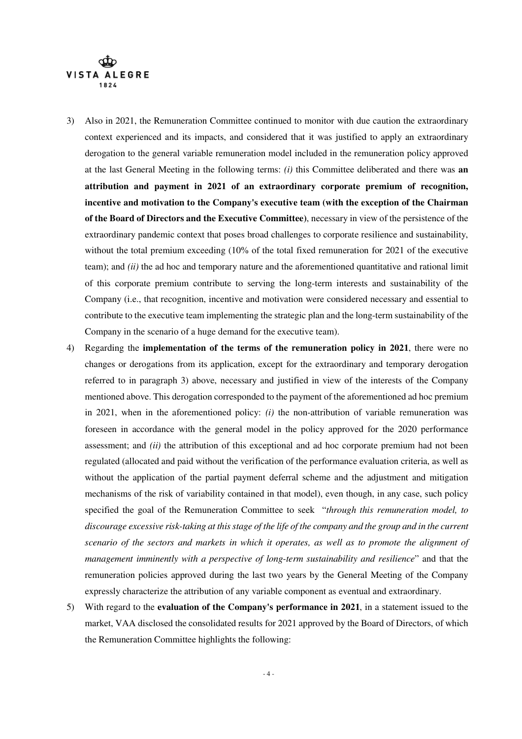

- 3) Also in 2021, the Remuneration Committee continued to monitor with due caution the extraordinary context experienced and its impacts, and considered that it was justified to apply an extraordinary derogation to the general variable remuneration model included in the remuneration policy approved at the last General Meeting in the following terms: *(i)* this Committee deliberated and there was **an attribution and payment in 2021 of an extraordinary corporate premium of recognition, incentive and motivation to the Company's executive team (with the exception of the Chairman of the Board of Directors and the Executive Committee)**, necessary in view of the persistence of the extraordinary pandemic context that poses broad challenges to corporate resilience and sustainability, without the total premium exceeding (10% of the total fixed remuneration for 2021 of the executive team); and *(ii)* the ad hoc and temporary nature and the aforementioned quantitative and rational limit of this corporate premium contribute to serving the long-term interests and sustainability of the Company (i.e., that recognition, incentive and motivation were considered necessary and essential to contribute to the executive team implementing the strategic plan and the long-term sustainability of the Company in the scenario of a huge demand for the executive team).
- 4) Regarding the **implementation of the terms of the remuneration policy in 2021**, there were no changes or derogations from its application, except for the extraordinary and temporary derogation referred to in paragraph 3) above, necessary and justified in view of the interests of the Company mentioned above. This derogation corresponded to the payment of the aforementioned ad hoc premium in 2021, when in the aforementioned policy: *(i)* the non-attribution of variable remuneration was foreseen in accordance with the general model in the policy approved for the 2020 performance assessment; and *(ii)* the attribution of this exceptional and ad hoc corporate premium had not been regulated (allocated and paid without the verification of the performance evaluation criteria, as well as without the application of the partial payment deferral scheme and the adjustment and mitigation mechanisms of the risk of variability contained in that model), even though, in any case, such policy specified the goal of the Remuneration Committee to seek "*through this remuneration model, to discourage excessive risk-taking at this stage of the life of the company and the group and in the current scenario of the sectors and markets in which it operates, as well as to promote the alignment of management imminently with a perspective of long-term sustainability and resilience*" and that the remuneration policies approved during the last two years by the General Meeting of the Company expressly characterize the attribution of any variable component as eventual and extraordinary.
- 5) With regard to the **evaluation of the Company's performance in 2021**, in a statement issued to the market, VAA disclosed the consolidated results for 2021 approved by the Board of Directors, of which the Remuneration Committee highlights the following: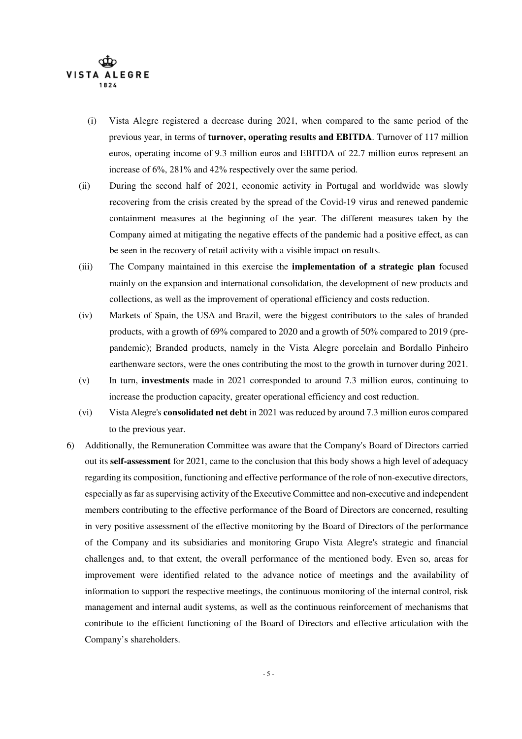

- (i) Vista Alegre registered a decrease during 2021, when compared to the same period of the previous year, in terms of **turnover, operating results and EBITDA**. Turnover of 117 million euros, operating income of 9.3 million euros and EBITDA of 22.7 million euros represent an increase of 6%, 281% and 42% respectively over the same period.
- (ii) During the second half of 2021, economic activity in Portugal and worldwide was slowly recovering from the crisis created by the spread of the Covid-19 virus and renewed pandemic containment measures at the beginning of the year. The different measures taken by the Company aimed at mitigating the negative effects of the pandemic had a positive effect, as can be seen in the recovery of retail activity with a visible impact on results.
- (iii) The Company maintained in this exercise the **implementation of a strategic plan** focused mainly on the expansion and international consolidation, the development of new products and collections, as well as the improvement of operational efficiency and costs reduction.
- (iv) Markets of Spain, the USA and Brazil, were the biggest contributors to the sales of branded products, with a growth of 69% compared to 2020 and a growth of 50% compared to 2019 (prepandemic); Branded products, namely in the Vista Alegre porcelain and Bordallo Pinheiro earthenware sectors, were the ones contributing the most to the growth in turnover during 2021.
- (v) In turn, **investments** made in 2021 corresponded to around 7.3 million euros, continuing to increase the production capacity, greater operational efficiency and cost reduction.
- (vi) Vista Alegre's **consolidated net debt** in 2021 was reduced by around 7.3 million euros compared to the previous year.
- 6) Additionally, the Remuneration Committee was aware that the Company's Board of Directors carried out its **self-assessment** for 2021, came to the conclusion that this body shows a high level of adequacy regarding its composition, functioning and effective performance of the role of non-executive directors, especially as far as supervising activity of the Executive Committee and non-executive and independent members contributing to the effective performance of the Board of Directors are concerned, resulting in very positive assessment of the effective monitoring by the Board of Directors of the performance of the Company and its subsidiaries and monitoring Grupo Vista Alegre's strategic and financial challenges and, to that extent, the overall performance of the mentioned body. Even so, areas for improvement were identified related to the advance notice of meetings and the availability of information to support the respective meetings, the continuous monitoring of the internal control, risk management and internal audit systems, as well as the continuous reinforcement of mechanisms that contribute to the efficient functioning of the Board of Directors and effective articulation with the Company's shareholders.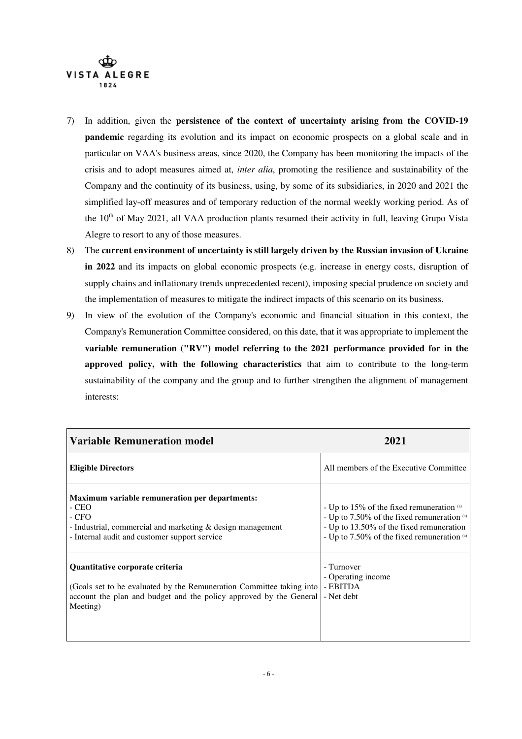

- 7) In addition, given the **persistence of the context of uncertainty arising from the COVID-19 pandemic** regarding its evolution and its impact on economic prospects on a global scale and in particular on VAA's business areas, since 2020, the Company has been monitoring the impacts of the crisis and to adopt measures aimed at, *inter alia*, promoting the resilience and sustainability of the Company and the continuity of its business, using, by some of its subsidiaries, in 2020 and 2021 the simplified lay-off measures and of temporary reduction of the normal weekly working period. As of the 10<sup>th</sup> of May 2021, all VAA production plants resumed their activity in full, leaving Grupo Vista Alegre to resort to any of those measures.
- 8) The **current environment of uncertainty is still largely driven by the Russian invasion of Ukraine in 2022** and its impacts on global economic prospects (e.g. increase in energy costs, disruption of supply chains and inflationary trends unprecedented recent), imposing special prudence on society and the implementation of measures to mitigate the indirect impacts of this scenario on its business.
- 9) In view of the evolution of the Company's economic and financial situation in this context, the Company's Remuneration Committee considered, on this date, that it was appropriate to implement the **variable remuneration ("RV") model referring to the 2021 performance provided for in the approved policy, with the following characteristics** that aim to contribute to the long-term sustainability of the company and the group and to further strengthen the alignment of management interests:

| <b>Variable Remuneration model</b>                                                                                                                                                         | 2021                                                                                                                                                                                |
|--------------------------------------------------------------------------------------------------------------------------------------------------------------------------------------------|-------------------------------------------------------------------------------------------------------------------------------------------------------------------------------------|
| <b>Eligible Directors</b>                                                                                                                                                                  | All members of the Executive Committee                                                                                                                                              |
| <b>Maximum variable remuneration per departments:</b><br>- CEO<br>$-CFO$<br>- Industrial, commercial and marketing $\&$ design management<br>- Internal audit and customer support service | - Up to 15% of the fixed remuneration (a)<br>- Up to 7.50% of the fixed remuneration (a)<br>- Up to 13.50% of the fixed remuneration<br>- Up to 7.50% of the fixed remuneration (a) |
| Quantitative corporate criteria<br>(Goals set to be evaluated by the Remuneration Committee taking into<br>account the plan and budget and the policy approved by the General<br>Meeting)  | - Turnover<br>- Operating income<br>- EBITDA<br>- Net debt                                                                                                                          |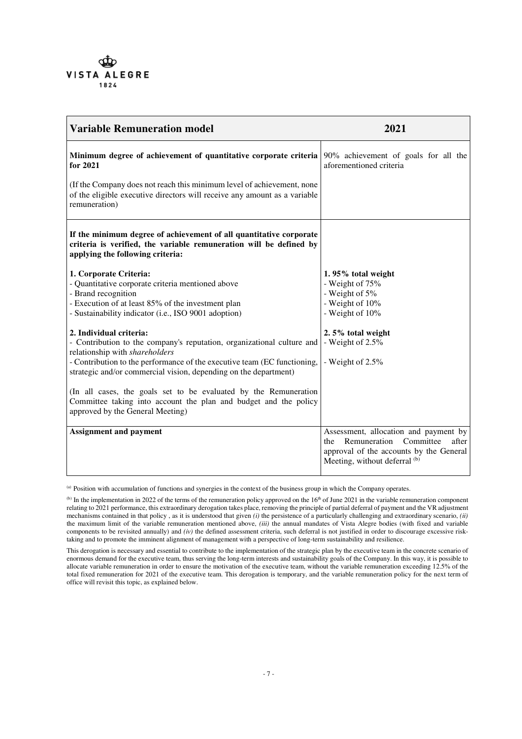

| <b>Variable Remuneration model</b>                                                                                                                                                                               | 2021                                                                                                                                                        |
|------------------------------------------------------------------------------------------------------------------------------------------------------------------------------------------------------------------|-------------------------------------------------------------------------------------------------------------------------------------------------------------|
| Minimum degree of achievement of quantitative corporate criteria<br>for 2021                                                                                                                                     | 90% achievement of goals for all the<br>aforementioned criteria                                                                                             |
| (If the Company does not reach this minimum level of achievement, none<br>of the eligible executive directors will receive any amount as a variable<br>remuneration)                                             |                                                                                                                                                             |
| If the minimum degree of achievement of all quantitative corporate<br>criteria is verified, the variable remuneration will be defined by<br>applying the following criteria:                                     |                                                                                                                                                             |
| 1. Corporate Criteria:<br>- Quantitative corporate criteria mentioned above<br>- Brand recognition<br>- Execution of at least 85% of the investment plan<br>- Sustainability indicator (i.e., ISO 9001 adoption) | 1.95% total weight<br>- Weight of 75%<br>- Weight of 5%<br>- Weight of 10%<br>- Weight of 10%                                                               |
| 2. Individual criteria:<br>- Contribution to the company's reputation, organizational culture and                                                                                                                | 2.5% total weight<br>- Weight of $2.5\%$                                                                                                                    |
| relationship with shareholders<br>- Contribution to the performance of the executive team (EC functioning,<br>strategic and/or commercial vision, depending on the department)                                   | - Weight of $2.5\%$                                                                                                                                         |
| (In all cases, the goals set to be evaluated by the Remuneration<br>Committee taking into account the plan and budget and the policy<br>approved by the General Meeting)                                         |                                                                                                                                                             |
| <b>Assignment and payment</b>                                                                                                                                                                                    | Assessment, allocation and payment by<br>after<br>Remuneration Committee<br>the<br>approval of the accounts by the General<br>Meeting, without deferral (b) |

<sup>(</sup>a) Position with accumulation of functions and synergies in the context of the business group in which the Company operates.

 $^{(b)}$  In the implementation in 2022 of the terms of the remuneration policy approved on the 16<sup>th</sup> of June 2021 in the variable remuneration component relating to 2021 performance, this extraordinary derogation takes place, removing the principle of partial deferral of payment and the VR adjustment mechanisms contained in that policy , as it is understood that given *(i)* the persistence of a particularly challenging and extraordinary scenario, *(ii)* the maximum limit of the variable remuneration mentioned above, *(iii)* the annual mandates of Vista Alegre bodies (with fixed and variable components to be revisited annually) and *(iv)* the defined assessment criteria, such deferral is not justified in order to discourage excessive risktaking and to promote the imminent alignment of management with a perspective of long-term sustainability and resilience.

This derogation is necessary and essential to contribute to the implementation of the strategic plan by the executive team in the concrete scenario of enormous demand for the executive team, thus serving the long-term interests and sustainability goals of the Company. In this way, it is possible to allocate variable remuneration in order to ensure the motivation of the executive team, without the variable remuneration exceeding 12.5% of the total fixed remuneration for 2021 of the executive team. This derogation is temporary, and the variable remuneration policy for the next term of office will revisit this topic, as explained below.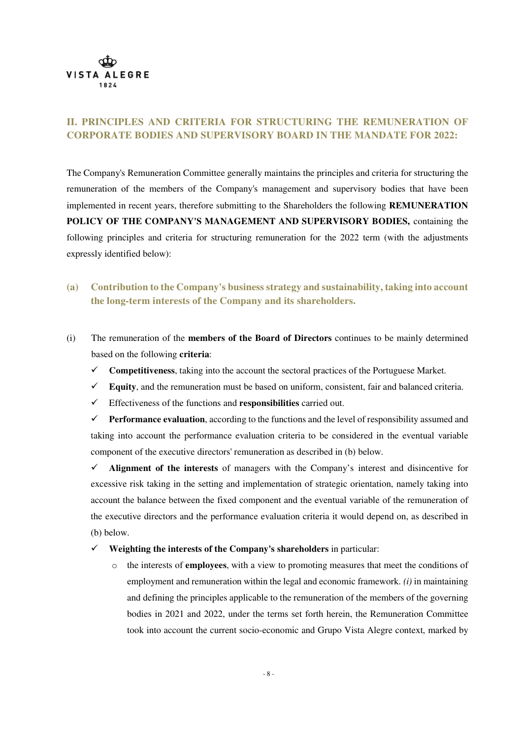

## **II. PRINCIPLES AND CRITERIA FOR STRUCTURING THE REMUNERATION OF CORPORATE BODIES AND SUPERVISORY BOARD IN THE MANDATE FOR 2022:**

The Company's Remuneration Committee generally maintains the principles and criteria for structuring the remuneration of the members of the Company's management and supervisory bodies that have been implemented in recent years, therefore submitting to the Shareholders the following **REMUNERATION POLICY OF THE COMPANY'S MANAGEMENT AND SUPERVISORY BODIES,** containing the following principles and criteria for structuring remuneration for the 2022 term (with the adjustments expressly identified below):

- **(a) Contribution to the Company's business strategy and sustainability, taking into account the long-term interests of the Company and its shareholders.**
- (i) The remuneration of the **members of the Board of Directors** continues to be mainly determined based on the following **criteria**:
	- **Competitiveness**, taking into the account the sectoral practices of the Portuguese Market.
	- $\checkmark$  **Equity**, and the remuneration must be based on uniform, consistent, fair and balanced criteria.
	- Effectiveness of the functions and **responsibilities** carried out.

**Performance evaluation**, according to the functions and the level of responsibility assumed and taking into account the performance evaluation criteria to be considered in the eventual variable component of the executive directors' remuneration as described in (b) below.

 $\checkmark$  Alignment of the interests of managers with the Company's interest and disincentive for excessive risk taking in the setting and implementation of strategic orientation, namely taking into account the balance between the fixed component and the eventual variable of the remuneration of the executive directors and the performance evaluation criteria it would depend on, as described in (b) below.

**Weighting the interests of the Company's shareholders** in particular:

o the interests of **employees**, with a view to promoting measures that meet the conditions of employment and remuneration within the legal and economic framework. *(i)* in maintaining and defining the principles applicable to the remuneration of the members of the governing bodies in 2021 and 2022, under the terms set forth herein, the Remuneration Committee took into account the current socio-economic and Grupo Vista Alegre context, marked by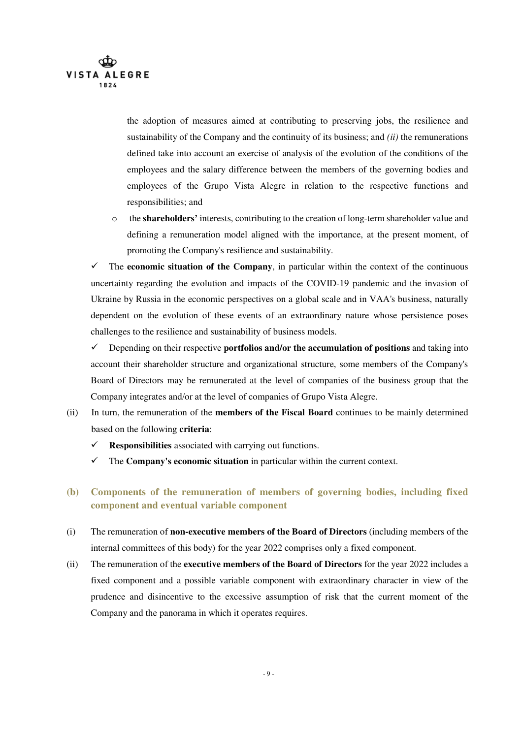

the adoption of measures aimed at contributing to preserving jobs, the resilience and sustainability of the Company and the continuity of its business; and *(ii)* the remunerations defined take into account an exercise of analysis of the evolution of the conditions of the employees and the salary difference between the members of the governing bodies and employees of the Grupo Vista Alegre in relation to the respective functions and responsibilities; and

o the **shareholders'** interests, contributing to the creation of long-term shareholder value and defining a remuneration model aligned with the importance, at the present moment, of promoting the Company's resilience and sustainability.

 $\checkmark$  The **economic situation of the Company**, in particular within the context of the continuous uncertainty regarding the evolution and impacts of the COVID-19 pandemic and the invasion of Ukraine by Russia in the economic perspectives on a global scale and in VAA's business, naturally dependent on the evolution of these events of an extraordinary nature whose persistence poses challenges to the resilience and sustainability of business models.

 $\checkmark$  Depending on their respective **portfolios and/or the accumulation of positions** and taking into account their shareholder structure and organizational structure, some members of the Company's Board of Directors may be remunerated at the level of companies of the business group that the Company integrates and/or at the level of companies of Grupo Vista Alegre.

- (ii) In turn, the remuneration of the **members of the Fiscal Board** continues to be mainly determined based on the following **criteria**:
	- **Responsibilities** associated with carrying out functions.
	- $\checkmark$  The **Company's economic situation** in particular within the current context.
- **(b) Components of the remuneration of members of governing bodies, including fixed component and eventual variable component**
- (i) The remuneration of **non-executive members of the Board of Directors** (including members of the internal committees of this body) for the year 2022 comprises only a fixed component.
- (ii) The remuneration of the **executive members of the Board of Directors** for the year 2022 includes a fixed component and a possible variable component with extraordinary character in view of the prudence and disincentive to the excessive assumption of risk that the current moment of the Company and the panorama in which it operates requires.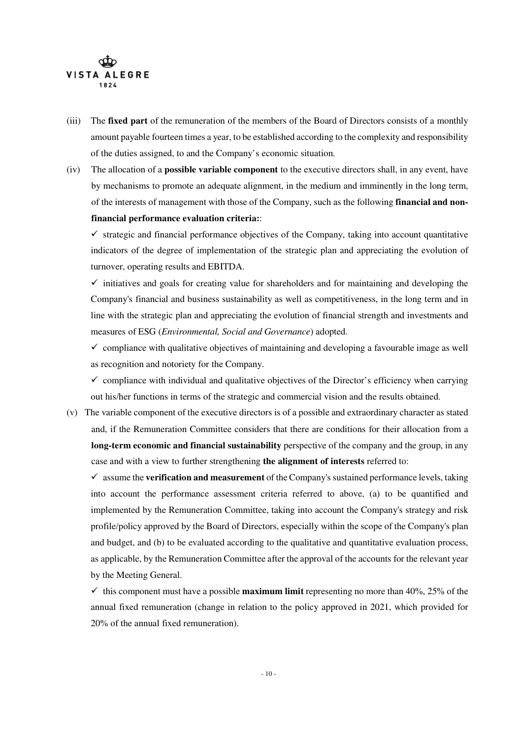

- (iii) The **fixed part** of the remuneration of the members of the Board of Directors consists of a monthly amount payable fourteen times a year, to be established according to the complexity and responsibility of the duties assigned, to and the Company's economic situation.
- (iv) The allocation of a **possible variable component** to the executive directors shall, in any event, have by mechanisms to promote an adequate alignment, in the medium and imminently in the long term, of the interests of management with those of the Company, such as the following **financial and nonfinancial performance evaluation criteria:**:

 $\checkmark$  strategic and financial performance objectives of the Company, taking into account quantitative indicators of the degree of implementation of the strategic plan and appreciating the evolution of turnover, operating results and EBITDA.

 $\checkmark$  initiatives and goals for creating value for shareholders and for maintaining and developing the Company's financial and business sustainability as well as competitiveness, in the long term and in line with the strategic plan and appreciating the evolution of financial strength and investments and measures of ESG (*Environmental, Social and Governance*) adopted.

 $\checkmark$  compliance with qualitative objectives of maintaining and developing a favourable image as well as recognition and notoriety for the Company.

 $\checkmark$  compliance with individual and qualitative objectives of the Director's efficiency when carrying out his/her functions in terms of the strategic and commercial vision and the results obtained.

(v) The variable component of the executive directors is of a possible and extraordinary character as stated and, if the Remuneration Committee considers that there are conditions for their allocation from a **long-term economic and financial sustainability** perspective of the company and the group, in any case and with a view to further strengthening **the alignment of interests** referred to:

 $\checkmark$  assume the **verification and measurement** of the Company's sustained performance levels, taking into account the performance assessment criteria referred to above, (a) to be quantified and implemented by the Remuneration Committee, taking into account the Company's strategy and risk profile/policy approved by the Board of Directors, especially within the scope of the Company's plan and budget, and (b) to be evaluated according to the qualitative and quantitative evaluation process, as applicable, by the Remuneration Committee after the approval of the accounts for the relevant year by the Meeting General.

 $\checkmark$  this component must have a possible **maximum limit** representing no more than 40%, 25% of the annual fixed remuneration (change in relation to the policy approved in 2021, which provided for 20% of the annual fixed remuneration).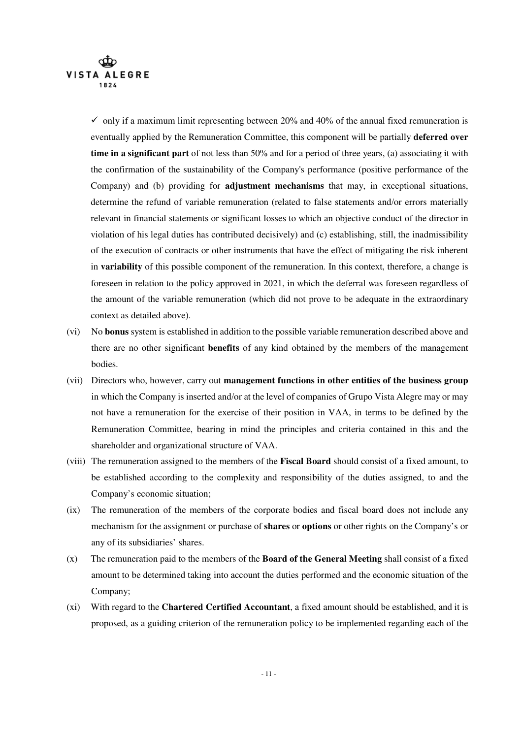

 $\checkmark$  only if a maximum limit representing between 20% and 40% of the annual fixed remuneration is eventually applied by the Remuneration Committee, this component will be partially **deferred over time in a significant part** of not less than 50% and for a period of three years, (a) associating it with the confirmation of the sustainability of the Company's performance (positive performance of the Company) and (b) providing for **adjustment mechanisms** that may, in exceptional situations, determine the refund of variable remuneration (related to false statements and/or errors materially relevant in financial statements or significant losses to which an objective conduct of the director in violation of his legal duties has contributed decisively) and (c) establishing, still, the inadmissibility of the execution of contracts or other instruments that have the effect of mitigating the risk inherent in **variability** of this possible component of the remuneration. In this context, therefore, a change is foreseen in relation to the policy approved in 2021, in which the deferral was foreseen regardless of the amount of the variable remuneration (which did not prove to be adequate in the extraordinary context as detailed above).

- (vi) No **bonus** system is established in addition to the possible variable remuneration described above and there are no other significant **benefits** of any kind obtained by the members of the management bodies.
- (vii) Directors who, however, carry out **management functions in other entities of the business group** in which the Company is inserted and/or at the level of companies of Grupo Vista Alegre may or may not have a remuneration for the exercise of their position in VAA, in terms to be defined by the Remuneration Committee, bearing in mind the principles and criteria contained in this and the shareholder and organizational structure of VAA.
- (viii) The remuneration assigned to the members of the **Fiscal Board** should consist of a fixed amount, to be established according to the complexity and responsibility of the duties assigned, to and the Company's economic situation;
- (ix) The remuneration of the members of the corporate bodies and fiscal board does not include any mechanism for the assignment or purchase of **shares** or **options** or other rights on the Company's or any of its subsidiaries' shares.
- (x) The remuneration paid to the members of the **Board of the General Meeting** shall consist of a fixed amount to be determined taking into account the duties performed and the economic situation of the Company;
- (xi) With regard to the **Chartered Certified Accountant**, a fixed amount should be established, and it is proposed, as a guiding criterion of the remuneration policy to be implemented regarding each of the